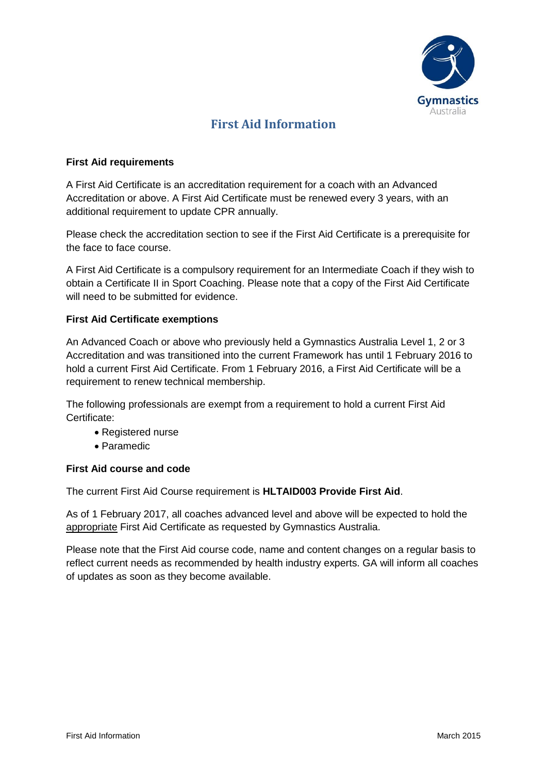

## **First Aid Information**

## **First Aid requirements**

A First Aid Certificate is an accreditation requirement for a coach with an Advanced Accreditation or above. A First Aid Certificate must be renewed every 3 years, with an additional requirement to update CPR annually.

Please check the accreditation section to see if the First Aid Certificate is a prerequisite for the face to face course.

A First Aid Certificate is a compulsory requirement for an Intermediate Coach if they wish to obtain a Certificate II in Sport Coaching. Please note that a copy of the First Aid Certificate will need to be submitted for evidence.

## **First Aid Certificate exemptions**

An Advanced Coach or above who previously held a Gymnastics Australia Level 1, 2 or 3 Accreditation and was transitioned into the current Framework has until 1 February 2016 to hold a current First Aid Certificate. From 1 February 2016, a First Aid Certificate will be a requirement to renew technical membership.

The following professionals are exempt from a requirement to hold a current First Aid Certificate:

- Registered nurse
- Paramedic

## **First Aid course and code**

The current First Aid Course requirement is **HLTAID003 Provide First Aid**.

As of 1 February 2017, all coaches advanced level and above will be expected to hold the appropriate First Aid Certificate as requested by Gymnastics Australia.

Please note that the First Aid course code, name and content changes on a regular basis to reflect current needs as recommended by health industry experts. GA will inform all coaches of updates as soon as they become available.